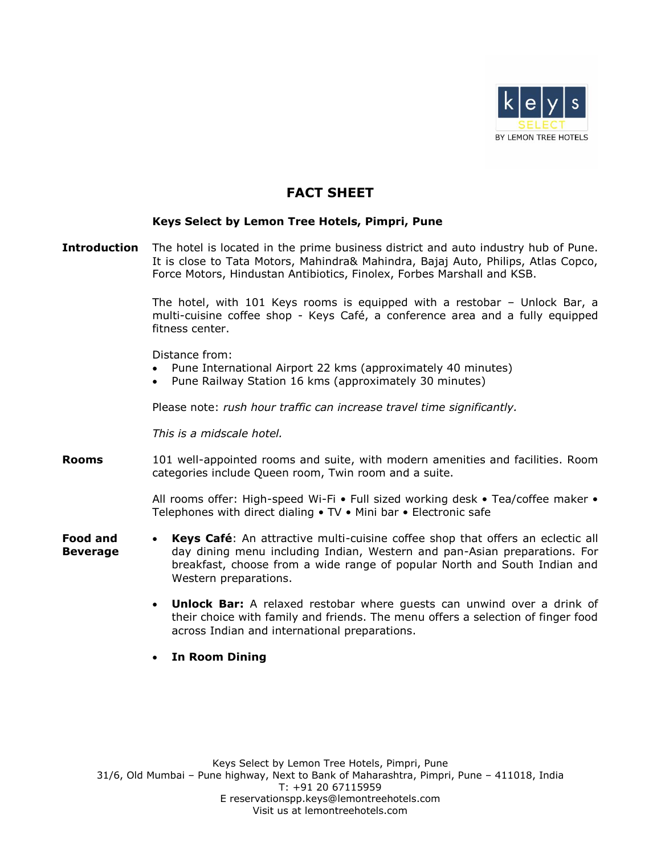

## **FACT SHEET**

## **Keys Select by Lemon Tree Hotels, Pimpri, Pune**

**Introduction** The hotel is located in the prime business district and auto industry hub of Pune. It is close to Tata Motors, Mahindra& Mahindra, Bajaj Auto, Philips, Atlas Copco, Force Motors, Hindustan Antibiotics, Finolex, Forbes Marshall and KSB.

> The hotel, with 101 Keys rooms is equipped with a restobar – Unlock Bar, a multi-cuisine coffee shop - Keys Café, a conference area and a fully equipped fitness center.

Distance from:

- Pune International Airport 22 kms (approximately 40 minutes)
- Pune Railway Station 16 kms (approximately 30 minutes)

Please note: *rush hour traffic can increase travel time significantly.*

*This is a midscale hotel.* 

**Rooms** 101 well-appointed rooms and suite, with modern amenities and facilities. Room categories include Queen room, Twin room and a suite.

> All rooms offer: High-speed Wi-Fi • Full sized working desk • Tea/coffee maker • Telephones with direct dialing • TV • Mini bar • Electronic safe

- **Food and Beverage Keys Café**: An attractive multi-cuisine coffee shop that offers an eclectic all day dining menu including Indian, Western and pan-Asian preparations. For breakfast, choose from a wide range of popular North and South Indian and Western preparations.
	- **Unlock Bar:** A relaxed restobar where guests can unwind over a drink of their choice with family and friends. The menu offers a selection of finger food across Indian and international preparations.
	- **In Room Dining**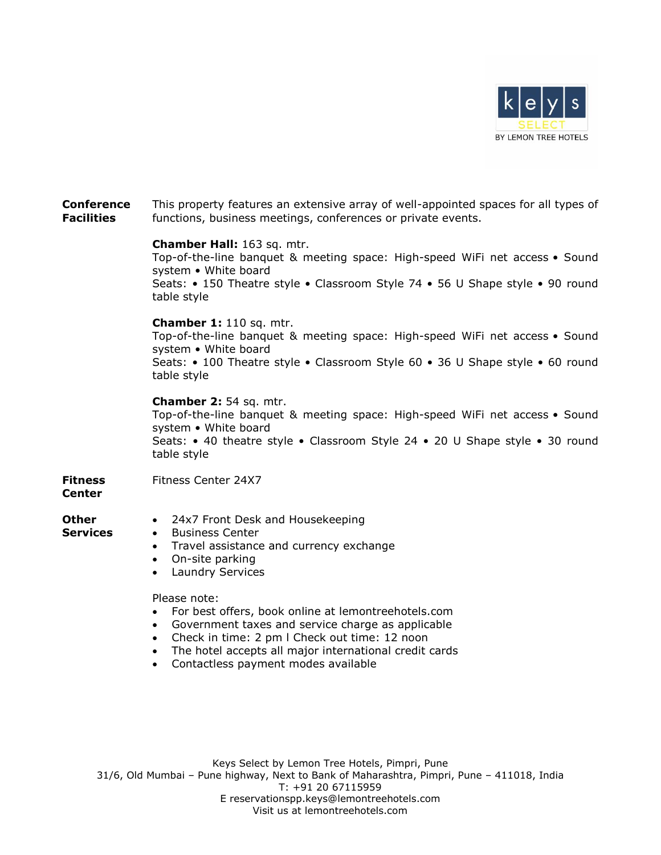

## **Conference Facilities** This property features an extensive array of well-appointed spaces for all types of functions, business meetings, conferences or private events. **Chamber Hall:** 163 sq. mtr. Top-of-the-line banquet & meeting space: High-speed WiFi net access • Sound system • White board Seats: • 150 Theatre style • Classroom Style 74 • 56 U Shape style • 90 round table style **Chamber 1:** 110 sq. mtr. Top-of-the-line banquet & meeting space: High-speed WiFi net access • Sound system • White board Seats: • 100 Theatre style • Classroom Style 60 • 36 U Shape style • 60 round table style **Chamber 2:** 54 sq. mtr. Top-of-the-line banquet & meeting space: High-speed WiFi net access • Sound system • White board Seats: • 40 theatre style • Classroom Style 24 • 20 U Shape style • 30 round table style **Fitness Center** Fitness Center 24X7 **Other Services** • 24x7 Front Desk and Housekeeping • Business Center • Travel assistance and currency exchange On-site parking Laundry Services Please note: For best offers, book online at lemontreehotels.com Government taxes and service charge as applicable Check in time: 2 pm l Check out time: 12 noon

- The hotel accepts all major international credit cards
- Contactless payment modes available